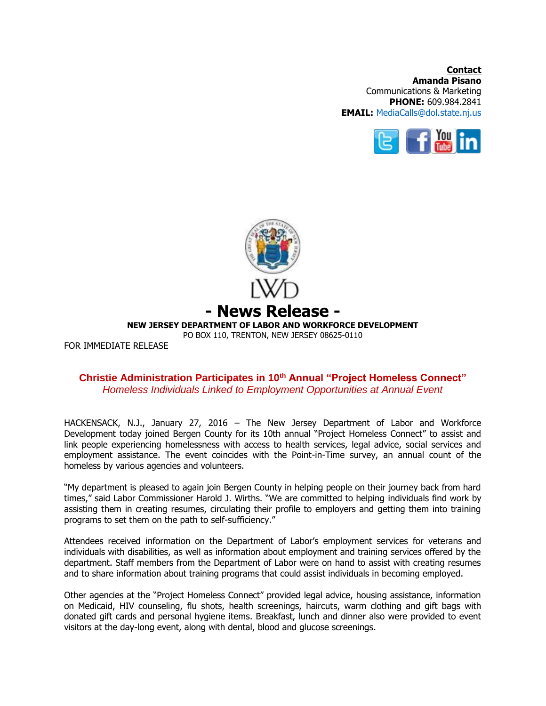**Contact Amanda Pisano** Communications & Marketing **PHONE:** 609.984.2841 **EMAIL:** [MediaCalls@dol.state.nj.us](mailto:MediaCalls@dol.state.nj.us)





## **Christie Administration Participates in 10th Annual "Project Homeless Connect"** *Homeless Individuals Linked to Employment Opportunities at Annual Event*

HACKENSACK, N.J., January 27, 2016 – The New Jersey Department of Labor and Workforce Development today joined Bergen County for its 10th annual "Project Homeless Connect" to assist and link people experiencing homelessness with access to health services, legal advice, social services and employment assistance. The event coincides with the Point-in-Time survey, an annual count of the homeless by various agencies and volunteers.

"My department is pleased to again join Bergen County in helping people on their journey back from hard times," said Labor Commissioner Harold J. Wirths. "We are committed to helping individuals find work by assisting them in creating resumes, circulating their profile to employers and getting them into training programs to set them on the path to self-sufficiency."

Attendees received information on the Department of Labor's employment services for veterans and individuals with disabilities, as well as information about employment and training services offered by the department. Staff members from the Department of Labor were on hand to assist with creating resumes and to share information about training programs that could assist individuals in becoming employed.

Other agencies at the "Project Homeless Connect" provided legal advice, housing assistance, information on Medicaid, HIV counseling, flu shots, health screenings, haircuts, warm clothing and gift bags with donated gift cards and personal hygiene items. Breakfast, lunch and dinner also were provided to event visitors at the day-long event, along with dental, blood and glucose screenings.